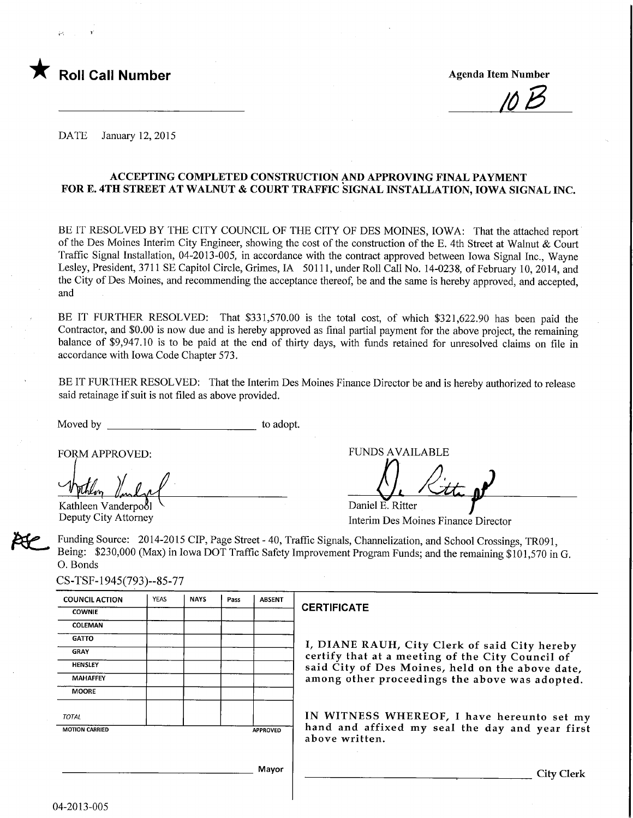

/6B

DATE January 12, 2015

### ACCEPTING COMPLETED CONSTRUCTION AND APPROVING FINAL PAYMENT FOR E. 4TH STREET AT WALNUT & COURT TRAFFIC SIGNAL INSTALLATION, IOWA SIGNAL INC.

BE IT RESOLVED BY THE CITY COUNCIL OF THE CITY OF DES MOINES, IOWA: That the attached report of the Des Moines Interim City Engineer, showing the cost of the construction of the E. 4th Street at Walnut & Court Traffic Signal Installation, 04-2013-005, in accordance with the contract approved between Iowa Signal Inc., Wayne Lesley, President, 3711 SE Capitol Circle, Grimes, IA 50111, under Roll Call No. 14-0238, of February 10, 2014, and the City of Des Moines, and recommending the acceptance thereof, be and the same is hereby approved, and accepted, and

BE IT FURTHER RESOLVED: That \$331,570.00 is the total cost, of which \$321,622.90 has been paid the Contractor, and \$0.00 is now due and is hereby approved as final partial payment for the above project, the remaining balance of \$9,947.10 is to be paid at the end of thirty days, with funds retained for unresolved claims on file in accordance with Iowa Code Chapter 573.

BE IT FURTHER RESOLVED: That the Interim Des Moines Finance Director be and is hereby authorized to release said retainage if suit is not filed as above provided.

Moved by to adopt.

Kathleen Vanderpool Deputy City Attorney

FORM APPROVED: FUNDS AVAILABLE

 $\bigcup_{i}$  Kitte of Daniel E. Ritter ட<br>إ

Interim Des Moines Finance Director

Funding Source: 2014-2015 CIP, Page Street - 40, Traffic Signals, Channelization, and School Crossings, TR091, Being: \$230,000 (Max) in Iowa DOT Traffic Safety Improvement Program Funds; and the remaining \$101,570 in G. 0. Bonds

CS-TSF-1945(793)--85-77

| <b>COUNCIL ACTION</b> | <b>YEAS</b> | <b>NAYS</b> | Pass | <b>ABSENT</b>   |
|-----------------------|-------------|-------------|------|-----------------|
| <b>COWNIE</b>         |             |             |      |                 |
| <b>COLEMAN</b>        |             |             |      |                 |
| <b>GATTO</b>          |             |             |      |                 |
| <b>GRAY</b>           |             |             |      |                 |
| <b>HENSLEY</b>        |             |             |      |                 |
| <b>MAHAFFEY</b>       |             |             |      |                 |
| <b>MOORE</b>          |             |             |      |                 |
| <b>TOTAL</b>          |             |             |      |                 |
| <b>MOTION CARRIED</b> |             |             |      | <b>APPROVED</b> |
|                       |             |             |      |                 |

#### **CERTIFICATE**

I, DIANE RAUH, City Clerk of said City hereby certify that at a meeting of the City Council of said City of Des Moines, held on the above date, among other proceedings the above was adopted.

IN WITNESS WHEREOF, I have hereunto set my hand and affixed my seal the day and year first above written.

Mayor

City Clerk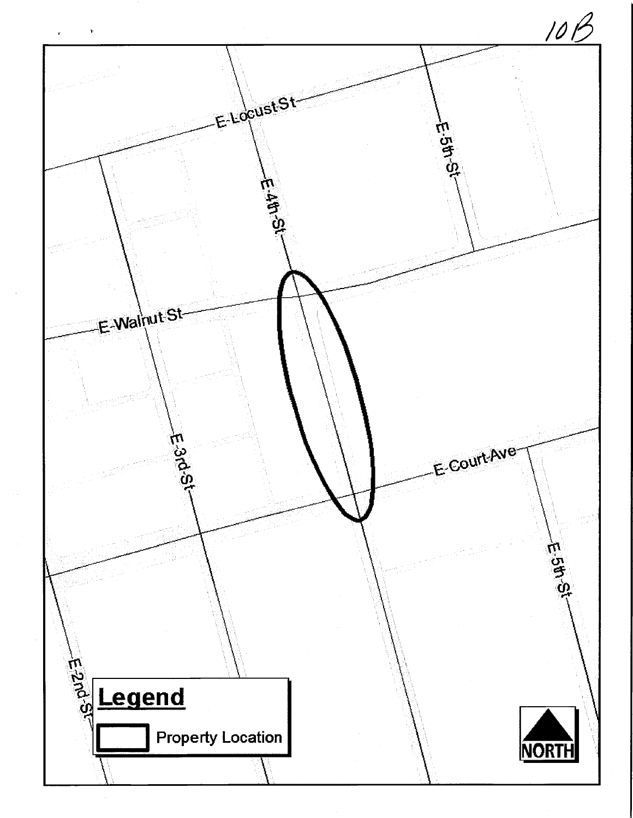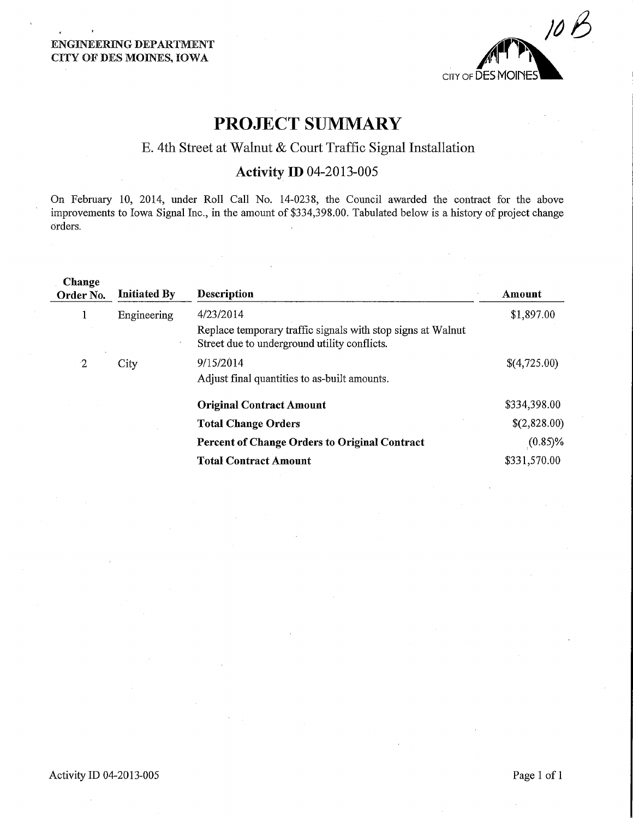

# PROJECT SUMMARY

## E. 4th Street at Walnut & Court Traffic Signal Installation

### Activity ID 04-2013-005

On February 10, 2014, under Roll Call No. 14-0238, the Council awarded the contact for the above improvements to Iowa Signal Inc., in the amount of \$334,398.00. Tabulated below is a history of project change orders.

| Change<br>Order No. | <b>Initiated By</b> | <b>Description</b>                                                                                                       | Amount       |
|---------------------|---------------------|--------------------------------------------------------------------------------------------------------------------------|--------------|
| $\mathbf 1$         | Engineering         | 4/23/2014<br>Replace temporary traffic signals with stop signs at Walnut<br>Street due to underground utility conflicts. | \$1,897.00   |
| $\cdot$ 2           | City                | 9/15/2014<br>Adjust final quantities to as-built amounts.                                                                | \$(4,725.00) |
|                     |                     | <b>Original Contract Amount</b>                                                                                          | \$334,398.00 |
|                     |                     | <b>Total Change Orders</b>                                                                                               | \$(2,828.00) |
|                     |                     | <b>Percent of Change Orders to Original Contract</b>                                                                     | $(0.85)\%$   |
|                     |                     | <b>Total Contract Amount</b>                                                                                             | \$331,570.00 |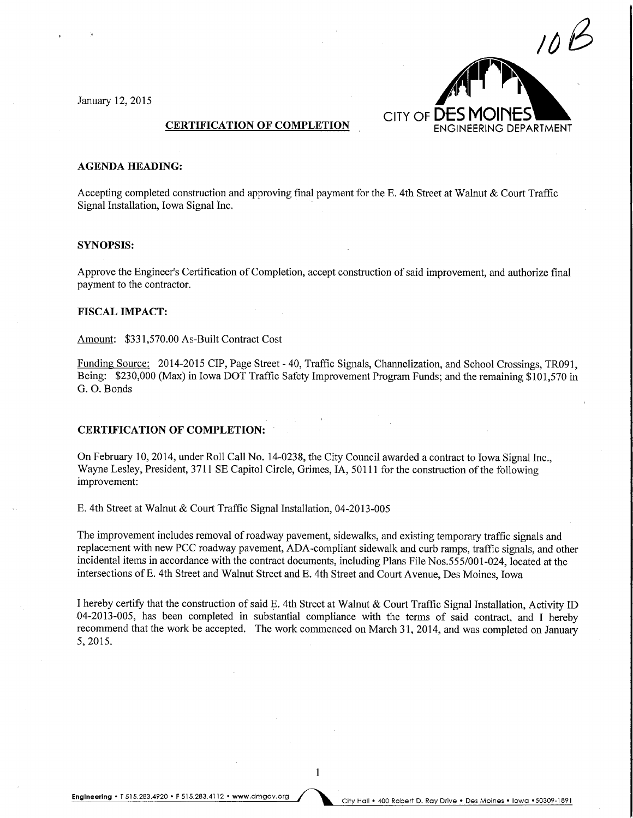January 12,2015



#### AGENDA HEADING:

Accepting completed construction and approving final payment for the E. 4th Street at Walnut & Court Traffic Signal Installation, Iowa Signal Inc.

#### SYNOPSIS:

Approve the Engineer's Certification of Completion, accept construction of said improvement, and authorize final payment to the contractor.

#### FISCAL IMPACT:

Amount: \$331,570.00 As-Built Contract Cost

Funding Source: 2014-2015 CIP, Page Street - 40, Traffic Signals, Channelization, and School Crossings, TR091, Being: \$230,000 (Max) in Iowa DOT Traffic Safety Improvement Program Funds; and the remaining \$101,570 in G. 0. Bonds

#### CERTIFICATION OF COMPLETION:

On February 10, 2014, under Roll Call No. 14-0238, the City Council awarded a contract to Iowa Signal Inc., Wayne Lesley, President, 3711 SE Capitol Circle, Grimes, IA, 50111 for the construction of the following improvement:

E. 4th Street at Walnut & Court Traffic Signal Installation, 04-2013-005

The improvement includes removal of roadway pavement, sidewalks, and existing temporary traffic signals and replacement with new PCC roadway pavement, ADA-compliant sidewalk and curb ramps, traffic signals, and other incidental items in accordance with the contract documents, including Plans File Nos.555/001-024, located at the intersections of E. 4th Street and Walnut Street and E. 4th Street and Court Avenue, Des Moines, Iowa

I hereby certify that the construction of said E. 4th Street at Walnut & Court Traffic Signal Installation, Activity ID 04-2013-005, has been completed in substantial compliance with the terms of said contract, and I hereby recommend that the work be accepted. The work commenced on March 31, 2014, and was completed on January 5,2015.

 $\mathbf{1}$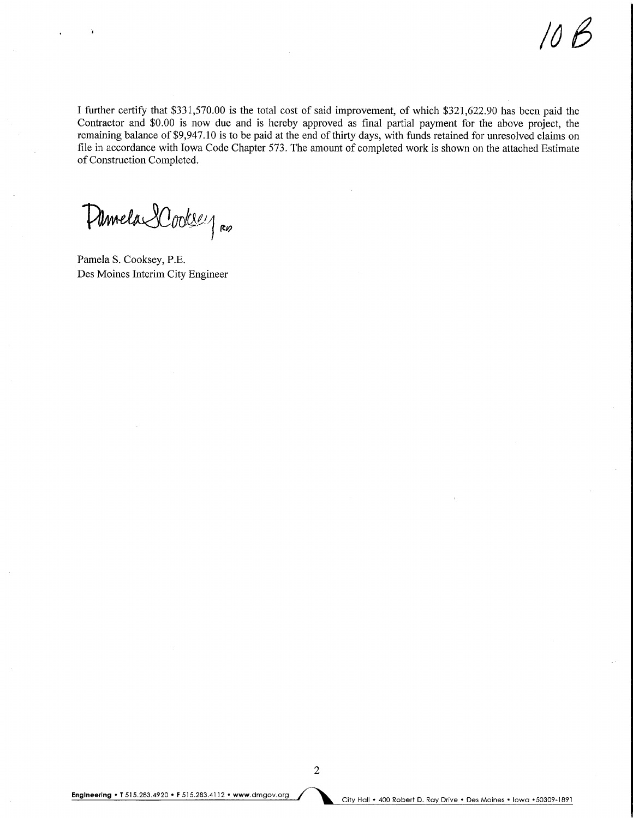166

I further certify that \$331,570.00 is the total cost of said improvement, of which \$321,622.90 has been paid the Contractor and \$0.00 is now due and is hereby approved as final partial payment for the above project, the remaining balance of \$9,947.10 is to be paid at the end of thirty days, with funds retained for unresolved claims on file in accordance with Iowa Code Chapter 573. The amount of completed work is shown on the attached Estimate of Construction Completed.

Minela Cookeey Ro

Pamela S. Cooksey, P.E. Des Moines Interim City Engineer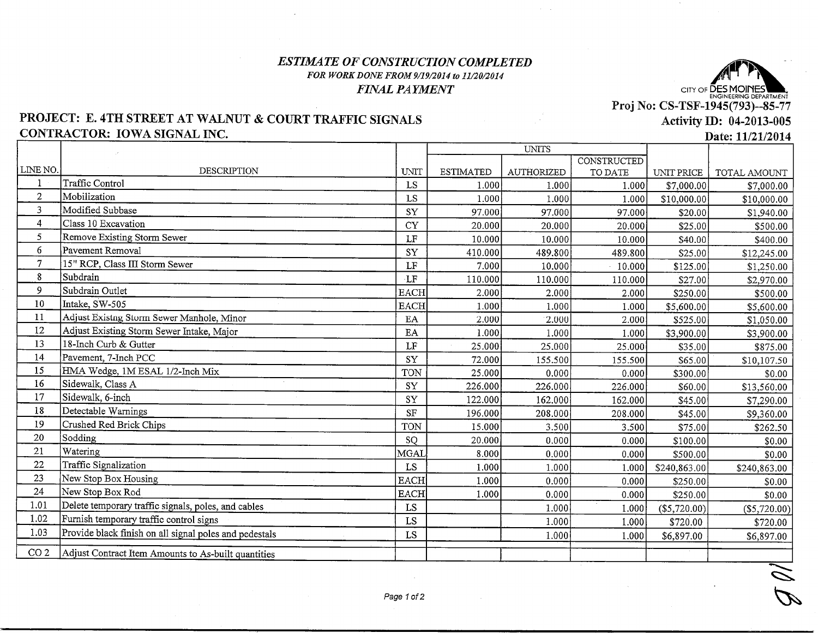### ESTIMATE OF CONSTRUCTION COMPLETED FOR WORK DONE FROM 9/19/2014 to 11/20/2014FINAL PAYMENT



# Activity ID: 04-2013-005

### PROJECT: E. 4TH STREET AT WALNUT & COURT TRAFFIC SIGNALSCONTRACTOR: IOWA SIGNAL INC.

Date: 11/21/2014

|                 |                                                        |                        | UNITS            |                   |             |              |                |
|-----------------|--------------------------------------------------------|------------------------|------------------|-------------------|-------------|--------------|----------------|
| LINE NO.        |                                                        |                        |                  |                   | CONSTRUCTED |              |                |
|                 | <b>DESCRIPTION</b><br><b>Traffic Control</b>           | UNIT                   | <b>ESTIMATED</b> | <b>AUTHORIZED</b> | TO DATE     | UNIT PRICE   | TOTAL AMOUNT   |
| $\mathbf 1$     |                                                        | LS                     | 1.000            | 1.000             | 1.000       | \$7,000.00   | \$7,000.00     |
| $\mathbf{2}$    | Mobilization                                           | LS                     | 1.000            | 1.000             | 1.000       | \$10,000.00  | \$10,000.00    |
| 3               | Modified Subbase                                       | ${\rm SY}$             | 97.000           | 97.000            | 97.000      | \$20.00      | \$1,940.00     |
| $\overline{4}$  | Class 10 Excavation                                    | <b>CY</b>              | 20.000           | 20.000            | 20.000      | \$25.00      | \$500.00       |
| 5               | Remove Existing Storm Sewer                            | LF                     | 10.000           | 10.000            | 10.000      | \$40.00      | \$400.00       |
| 6               | Pavement Removal                                       | SY                     | 410.000          | 489.800           | 489.800     | \$25.00      | \$12,245.00    |
| $\overline{7}$  | 15" RCP, Class III Storm Sewer                         | LF                     | 7.000            | 10.000            | 10.000      | \$125.00     | \$1,250.00     |
| 8               | Subdrain                                               | LF                     | 110.000          | 110.000           | 110.000     | \$27.00      | \$2,970.00     |
| 9               | Subdrain Outlet                                        | <b>EACH</b>            | 2.000            | 2.000             | 2.000       | \$250.00     | \$500.00       |
| 10              | Intake, SW-505                                         | <b>EACH</b>            | 1.000            | 1.000             | 1.000       | \$5,600.00]  | \$5,600.00     |
| 11              | Adjust Existng Storm Sewer Manhole, Minor              | $\rm EA$               | 2.000            | 2.000             | 2.000       | \$525.00     | \$1,050.00     |
| 12              | Adjust Existing Storm Sewer Intake, Major              | $\mathbf{E}\mathbf{A}$ | 1.000            | 1.000             | 1.000       | \$3,900.00   | \$3,900.00     |
| 13              | 18-Inch Curb & Gutter                                  | $\rm LF$               | 25.000           | 25.000            | 25.000      | \$35.00      | \$875.00       |
| 14              | Pavement, 7-Inch PCC                                   | <b>SY</b>              | 72.000           | 155.500           | 155.500     | \$65.00      | \$10,107.50    |
| 15              | HMA Wedge, 1M ESAL 1/2-Inch Mix                        | TON                    | 25.000           | 0.000             | 0.000       | \$300.00     | \$0.00         |
| 16              | Sidewalk, Class A                                      | SY                     | 226.000          | 226.000           | 226.000     | \$60.00      | \$13,560.00    |
| 17              | Sidewalk, 6-inch                                       | SY                     | 122.000          | 162.000           | 162.000     | \$45.00      | \$7,290.00     |
| 18              | Detectable Warnings                                    | <b>SF</b>              | 196.000          | 208.000           | 208.000     | \$45.00      | \$9,360.00     |
| 19              | Crushed Red Brick Chips                                | TON                    | 15.000           | 3.500             | 3.500       | \$75.00      | \$262.50       |
| 20              | Sodding                                                | SQ                     | 20.000           | 0.000             | 0.000       | \$100.00     | \$0.00         |
| 21              | Watering                                               | MGAL                   | 8.000            | 0.000             | 0.000       | \$500.00     | \$0.00         |
| 22              | Traffic Signalization                                  | LS                     | 1.000            | 1.000             | 1.000       | \$240,863.00 | \$240,863.00   |
| 23              | New Stop Box Housing                                   | <b>EACH</b>            | 1.000            | 0.000             | 0.000       | \$250.00     | \$0.00         |
| 24              | New Stop Box Rod                                       | <b>EACH</b>            | 1.000            | 0.000             | 0.000       | \$250.00     | \$0.00         |
| 1.01            | Delete temporary traffic signals, poles, and cables    | LS                     |                  | 1.000             | 1.000       | (\$5,720.00) | $(\$5,720.00)$ |
| 1.02            | Furnish temporary traffic control signs                | ${\rm LS}$             |                  | 1.000             | 1.000       | \$720.00     | \$720.00       |
| 1.03            | Provide black finish on all signal poles and pedestals | ${\rm LS}$             |                  | 1.000             | 1.000       | \$6,897.00   | \$6,897.00     |
|                 |                                                        |                        |                  |                   |             |              |                |
| CO <sub>2</sub> | Adjust Contract Item Amounts to As-built quantities    |                        |                  |                   |             |              |                |

 $\leq$  $\blacktriangledown$